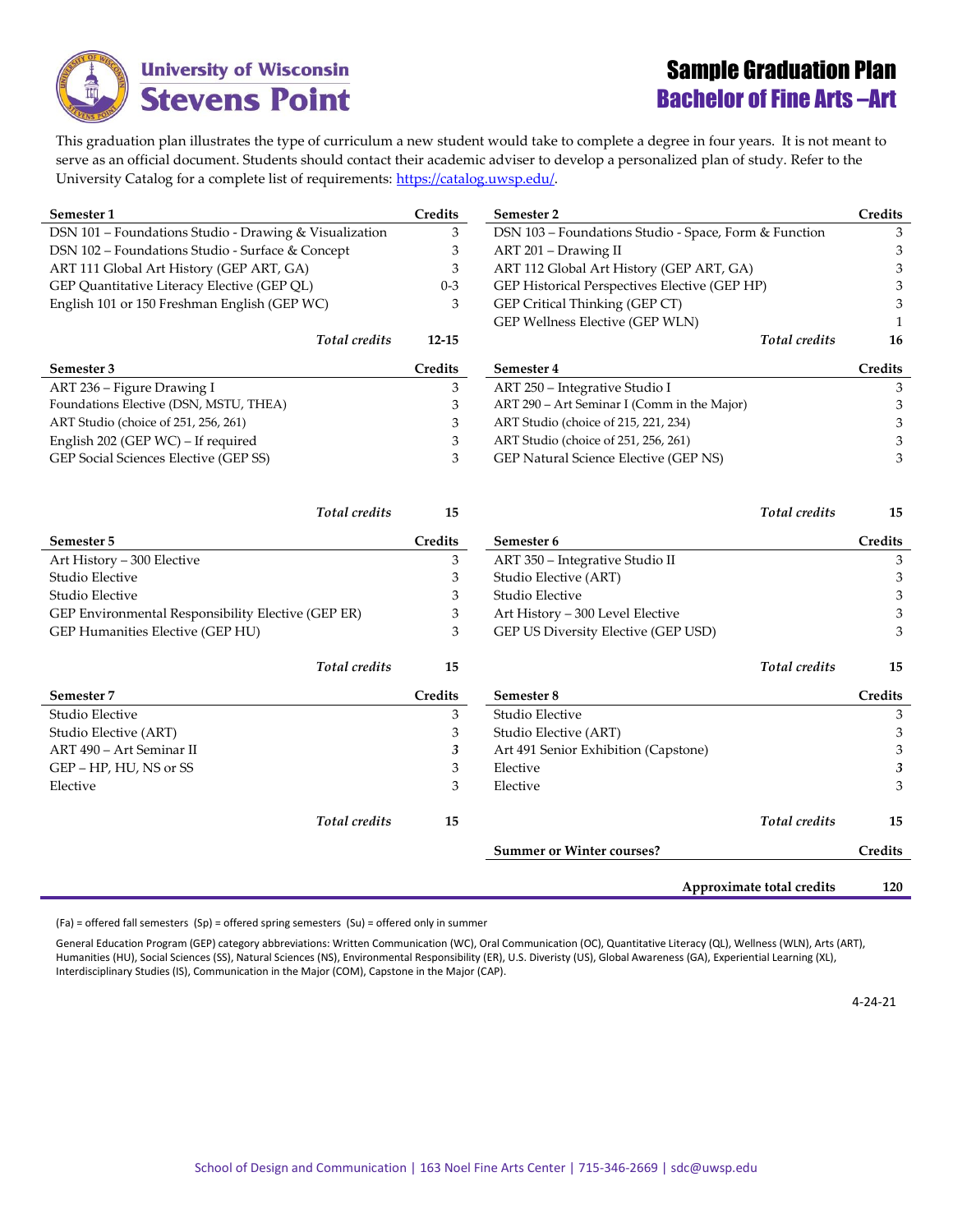

## Sample Graduation Plan Bachelor of Fine Arts –Art

This graduation plan illustrates the type of curriculum a new student would take to complete a degree in four years. It is not meant to serve as an official document. Students should contact their academic adviser to develop a personalized plan of study. Refer to the University Catalog for a complete list of requirements[: https://catalog.uwsp.edu/.](https://catalog.uwsp.edu/)

| Semester 1                                             | Credits   | Semester 2                                            | Credits      |
|--------------------------------------------------------|-----------|-------------------------------------------------------|--------------|
| DSN 101 - Foundations Studio - Drawing & Visualization | 3         | DSN 103 - Foundations Studio - Space, Form & Function | 3            |
| DSN 102 - Foundations Studio - Surface & Concept       | 3         | ART 201 - Drawing II                                  | 3            |
| ART 111 Global Art History (GEP ART, GA)               | 3         | ART 112 Global Art History (GEP ART, GA)              | 3            |
| GEP Quantitative Literacy Elective (GEP QL)            | $0 - 3$   | GEP Historical Perspectives Elective (GEP HP)         | 3            |
| English 101 or 150 Freshman English (GEP WC)           | 3         | GEP Critical Thinking (GEP CT)                        | 3            |
|                                                        |           | GEP Wellness Elective (GEP WLN)                       | $\mathbf{1}$ |
| <b>Total</b> credits                                   | $12 - 15$ | <b>Total</b> credits                                  | 16           |
| Semester 3                                             | Credits   | Semester 4                                            | Credits      |
| ART 236 - Figure Drawing I                             | 3         | ART 250 - Integrative Studio I                        | 3            |
| Foundations Elective (DSN, MSTU, THEA)                 | 3         | ART 290 - Art Seminar I (Comm in the Major)           | 3            |
| ART Studio (choice of 251, 256, 261)                   | 3         | ART Studio (choice of 215, 221, 234)                  | 3            |
| English 202 (GEP WC) – If required                     | 3         | ART Studio (choice of 251, 256, 261)                  | 3            |
| GEP Social Sciences Elective (GEP SS)                  | 3         | GEP Natural Science Elective (GEP NS)                 | 3            |
| Total credits                                          | 15        | Total credits                                         | 15           |
| Semester 5                                             | Credits   | Semester 6                                            | Credits      |
| Art History - 300 Elective                             | 3         | ART 350 - Integrative Studio II                       | 3            |
| Studio Elective                                        | 3         | Studio Elective (ART)                                 | 3            |
| Studio Elective                                        | 3         | Studio Elective                                       | 3            |
| GEP Environmental Responsibility Elective (GEP ER)     | 3         | Art History - 300 Level Elective                      | 3            |
| GEP Humanities Elective (GEP HU)                       | 3         | GEP US Diversity Elective (GEP USD)                   | 3            |
| <b>Total</b> credits                                   | 15        | <b>Total</b> credits                                  | 15           |
| Semester 7                                             | Credits   | Semester 8                                            | Credits      |
| Studio Elective                                        | 3         | Studio Elective                                       | 3            |
| Studio Elective (ART)                                  | 3         | Studio Elective (ART)                                 | 3            |
| ART 490 - Art Seminar II                               | 3         | Art 491 Senior Exhibition (Capstone)                  | 3            |
| GEP - HP, HU, NS or SS                                 | 3         | Elective                                              | 3            |
| Elective                                               | 3         | Elective                                              | 3            |
| Total credits                                          | 15        | Total credits                                         | 15           |
|                                                        |           | <b>Summer or Winter courses?</b>                      | Credits      |
|                                                        |           | Approximate total credits                             | 120          |

(Fa) = offered fall semesters (Sp) = offered spring semesters (Su) = offered only in summer

General Education Program (GEP) category abbreviations: Written Communication (WC), Oral Communication (OC), Quantitative Literacy (QL), Wellness (WLN), Arts (ART), Humanities (HU), Social Sciences (SS), Natural Sciences (NS), Environmental Responsibility (ER), U.S. Diveristy (US), Global Awareness (GA), Experiential Learning (XL), Interdisciplinary Studies (IS), Communication in the Major (COM), Capstone in the Major (CAP).